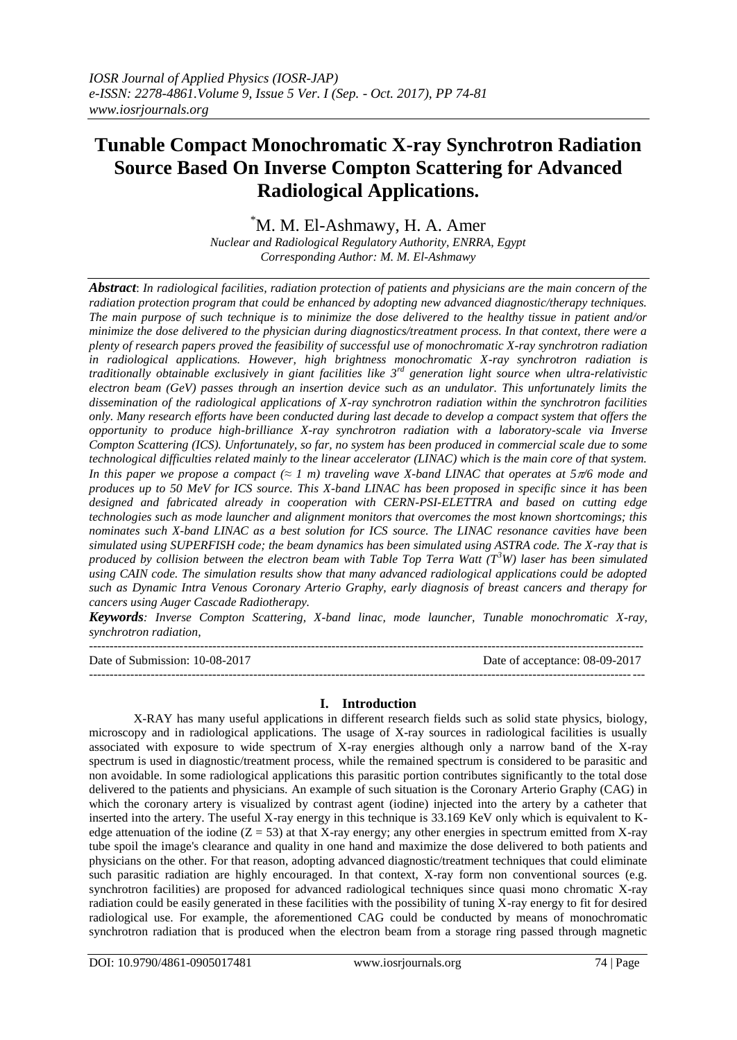# **Tunable Compact Monochromatic X-ray Synchrotron Radiation Source Based On Inverse Compton Scattering for Advanced Radiological Applications.**

\*M. M. El-Ashmawy, H. A. Amer

*Nuclear and Radiological Regulatory Authority, ENRRA, Egypt Corresponding Author: M. M. El-Ashmawy*

*Abstract*: *In radiological facilities, radiation protection of patients and physicians are the main concern of the radiation protection program that could be enhanced by adopting new advanced diagnostic/therapy techniques. The main purpose of such technique is to minimize the dose delivered to the healthy tissue in patient and/or minimize the dose delivered to the physician during diagnostics/treatment process. In that context, there were a plenty of research papers proved the feasibility of successful use of monochromatic X-ray synchrotron radiation in radiological applications. However, high brightness monochromatic X-ray synchrotron radiation is traditionally obtainable exclusively in giant facilities like 3rd generation light source when ultra-relativistic electron beam (GeV) passes through an insertion device such as an undulator. This unfortunately limits the dissemination of the radiological applications of X-ray synchrotron radiation within the synchrotron facilities only. Many research efforts have been conducted during last decade to develop a compact system that offers the opportunity to produce high-brilliance X-ray synchrotron radiation with a laboratory-scale via Inverse Compton Scattering (ICS). Unfortunately, so far, no system has been produced in commercial scale due to some technological difficulties related mainly to the linear accelerator (LINAC) which is the main core of that system. In this paper we propose a compact (* $\approx 1$  *m) traveling wave X-band LINAC that operates at*  $5\pi/6$  *mode and produces up to 50 MeV for ICS source. This X-band LINAC has been proposed in specific since it has been designed and fabricated already in cooperation with CERN-PSI-ELETTRA and based on cutting edge technologies such as mode launcher and alignment monitors that overcomes the most known shortcomings; this nominates such X-band LINAC as a best solution for ICS source. The LINAC resonance cavities have been simulated using SUPERFISH code; the beam dynamics has been simulated using ASTRA code. The X-ray that is produced by collision between the electron beam with Table Top Terra Watt (T<sup>3</sup>W) laser has been simulated using CAIN code. The simulation results show that many advanced radiological applications could be adopted such as Dynamic Intra Venous Coronary Arterio Graphy, early diagnosis of breast cancers and therapy for cancers using Auger Cascade Radiotherapy.*

*Keywords: Inverse Compton Scattering, X-band linac, mode launcher, Tunable monochromatic X-ray, synchrotron radiation,* 

---------------------------------------------------------------------------------------------------------------------------------------

Date of Submission: 10-08-2017 Date of acceptance: 08-09-2017 ---------------------------------------------------------------------------------------------------------------------------------------

# **I. Introduction**

X-RAY has many useful applications in different research fields such as solid state physics, biology, microscopy and in radiological applications. The usage of X-ray sources in radiological facilities is usually associated with exposure to wide spectrum of X-ray energies although only a narrow band of the X-ray spectrum is used in diagnostic/treatment process, while the remained spectrum is considered to be parasitic and non avoidable. In some radiological applications this parasitic portion contributes significantly to the total dose delivered to the patients and physicians. An example of such situation is the Coronary Arterio Graphy (CAG) in which the coronary artery is visualized by contrast agent (iodine) injected into the artery by a catheter that inserted into the artery. The useful X-ray energy in this technique is 33.169 KeV only which is equivalent to Kedge attenuation of the iodine  $(Z = 53)$  at that X-ray energy; any other energies in spectrum emitted from X-ray tube spoil the image's clearance and quality in one hand and maximize the dose delivered to both patients and physicians on the other. For that reason, adopting advanced diagnostic/treatment techniques that could eliminate such parasitic radiation are highly encouraged. In that context, X-ray form non conventional sources (e.g. synchrotron facilities) are proposed for advanced radiological techniques since quasi mono chromatic X-ray radiation could be easily generated in these facilities with the possibility of tuning X-ray energy to fit for desired radiological use. For example, the aforementioned CAG could be conducted by means of monochromatic synchrotron radiation that is produced when the electron beam from a storage ring passed through magnetic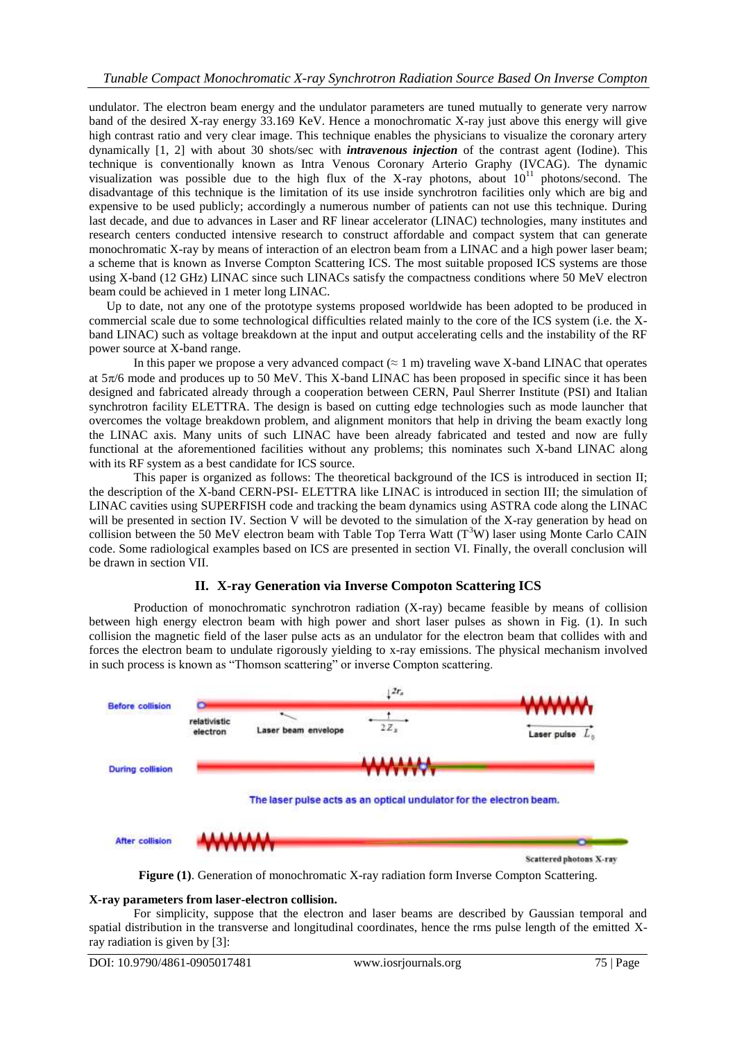undulator. The electron beam energy and the undulator parameters are tuned mutually to generate very narrow band of the desired X-ray energy 33.169 KeV. Hence a monochromatic X-ray just above this energy will give high contrast ratio and very clear image. This technique enables the physicians to visualize the coronary artery dynamically [1, 2] with about 30 shots/sec with *intravenous injection* of the contrast agent (Iodine). This technique is conventionally known as Intra Venous Coronary Arterio Graphy (IVCAG). The dynamic visualization was possible due to the high flux of the X-ray photons, about  $10^{11}$  photons/second. The disadvantage of this technique is the limitation of its use inside synchrotron facilities only which are big and expensive to be used publicly; accordingly a numerous number of patients can not use this technique. During last decade, and due to advances in Laser and RF linear accelerator (LINAC) technologies, many institutes and research centers conducted intensive research to construct affordable and compact system that can generate monochromatic X-ray by means of interaction of an electron beam from a LINAC and a high power laser beam; a scheme that is known as Inverse Compton Scattering ICS. The most suitable proposed ICS systems are those using X-band (12 GHz) LINAC since such LINACs satisfy the compactness conditions where 50 MeV electron beam could be achieved in 1 meter long LINAC.

Up to date, not any one of the prototype systems proposed worldwide has been adopted to be produced in commercial scale due to some technological difficulties related mainly to the core of the ICS system (i.e. the Xband LINAC) such as voltage breakdown at the input and output accelerating cells and the instability of the RF power source at X-band range.

In this paper we propose a very advanced compact  $(\approx 1 \text{ m})$  traveling wave X-band LINAC that operates at  $5\pi/6$  mode and produces up to 50 MeV. This X-band LINAC has been proposed in specific since it has been designed and fabricated already through a cooperation between CERN, Paul Sherrer Institute (PSI) and Italian synchrotron facility ELETTRA. The design is based on cutting edge technologies such as mode launcher that overcomes the voltage breakdown problem, and alignment monitors that help in driving the beam exactly long the LINAC axis. Many units of such LINAC have been already fabricated and tested and now are fully functional at the aforementioned facilities without any problems; this nominates such X-band LINAC along with its RF system as a best candidate for ICS source.

This paper is organized as follows: The theoretical background of the ICS is introduced in section II; the description of the X-band CERN-PSI- ELETTRA like LINAC is introduced in section III; the simulation of LINAC cavities using SUPERFISH code and tracking the beam dynamics using ASTRA code along the LINAC will be presented in section IV. Section V will be devoted to the simulation of the X-ray generation by head on collision between the 50 MeV electron beam with Table Top Terra Watt  $(T<sup>3</sup>W)$  laser using Monte Carlo CAIN code. Some radiological examples based on ICS are presented in section VI. Finally, the overall conclusion will be drawn in section VII.

# **II. X-ray Generation via Inverse Compoton Scattering ICS**

Production of monochromatic synchrotron radiation (X-ray) became feasible by means of collision between high energy electron beam with high power and short laser pulses as shown in Fig. (1). In such collision the magnetic field of the laser pulse acts as an undulator for the electron beam that collides with and forces the electron beam to undulate rigorously yielding to x-ray emissions. The physical mechanism involved in such process is known as "Thomson scattering" or inverse Compton scattering.





#### **X-ray parameters from laser-electron collision.**

For simplicity, suppose that the electron and laser beams are described by Gaussian temporal and spatial distribution in the transverse and longitudinal coordinates, hence the rms pulse length of the emitted Xray radiation is given by [3]: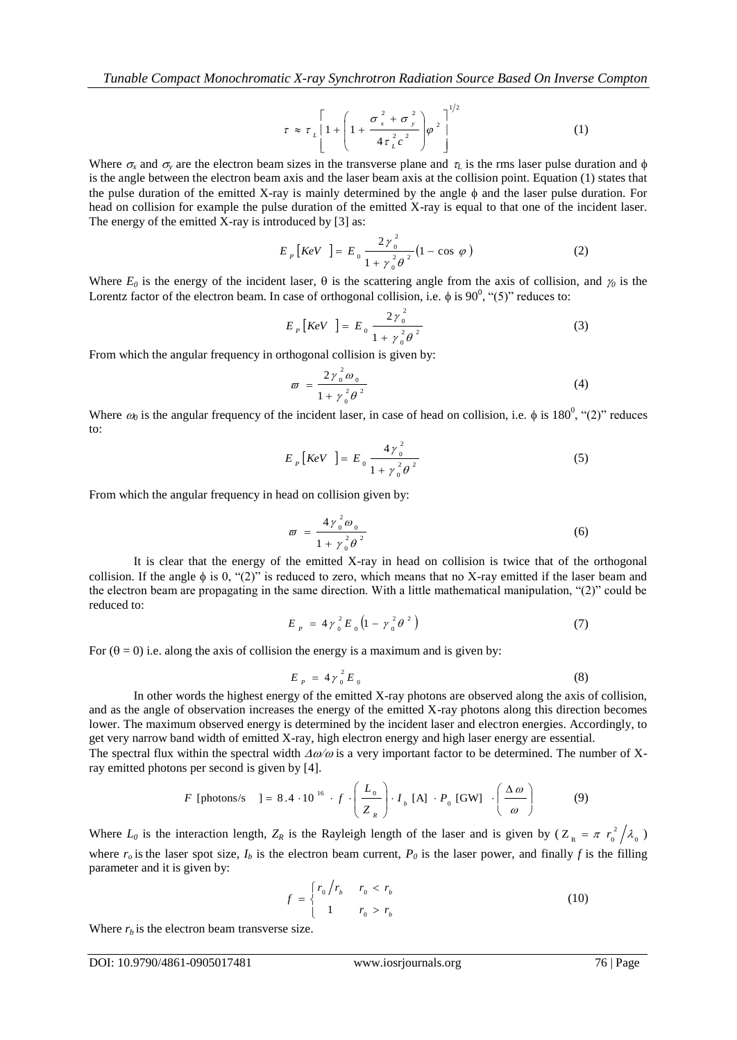$$
\tau \approx \tau_L \left[ 1 + \left( 1 + \frac{\sigma_x^2 + \sigma_y^2}{4 \tau_L^2 c^2} \right) \varphi^2 \right]^{1/2}
$$
 (1)

Where  $\sigma$ , and  $\sigma$ , and be decomposited by the matrix  $\frac{1}{\sqrt{2}}\left(1-\frac{q^2+q^2}{2q^2}\right)e^{-\frac{1}{2}}$ <br>
(a) Where  $\sigma$ , and  $\sigma$ , and be decomposited by the matrix  $\sigma$  is the matrix  $\sigma$  is the matrix parameter of the contro Where  $\sigma_r$  and  $\sigma_\nu$  are the electron beam sizes in the transverse plane and  $\tau_l$  is the rms laser pulse duration and  $\phi$ is the angle between the electron beam axis and the laser beam axis at the collision point. Equation (1) states that the pulse duration of the emitted X-ray is mainly determined by the angle  $\phi$  and the laser pulse duration. For head on collision for example the pulse duration of the emitted X-ray is equal to that one of the incident laser. The energy of the emitted X-ray is introduced by [3] as:

$$
E_{P} [KeV] = E_{0} \frac{2\gamma_{0}^{2}}{1 + \gamma_{0}^{2} \theta^{2}} (1 - \cos \varphi)
$$
 (2)

Where  $E_0$  is the energy of the incident laser,  $\theta$  is the scattering angle from the axis of collision, and  $\gamma_0$  is the Lorentz factor of the electron beam. In case of orthogonal collision, i.e.  $\phi$  is 90<sup>0</sup>, "(5)" reduces to:

$$
E_{P} [KeV] = E_{0} \frac{2\gamma_{0}^{2}}{1 + \gamma_{0}^{2} \theta^{2}}
$$
 (3)

From which the angular frequency in orthogonal collision is given by:

$$
\varpi = \frac{2\gamma_0^2 \omega_0}{1 + \gamma_0^2 \theta^2} \tag{4}
$$

Where  $\omega_0$  is the angular frequency of the incident laser, in case of head on collision, i.e.  $\phi$  is 180<sup>0</sup>, "(2)" reduces to:

$$
E_{P} [KeV] = E_{0} \frac{4\gamma_{0}^{2}}{1 + \gamma_{0}^{2} \theta^{2}}
$$
 (5)

From which the angular frequency in head on collision given by:

$$
\varpi = \frac{4\gamma_0^2 \omega_0}{1 + \gamma_0^2 \theta^2} \tag{6}
$$

It is clear that the energy of the emitted X-ray in head on collision is twice that of the orthogonal collision. If the angle  $\phi$  is 0, "(2)" is reduced to zero, which means that no X-ray emitted if the laser beam and the electron beam are propagating in the same direction. With a little mathematical manipulation, "(2)" could be reduced to:

$$
E_{P} = 4\gamma_0^2 E_0 \left(1 - \gamma_0^2 \theta^2\right) \tag{7}
$$

For  $(\theta = 0)$  i.e. along the axis of collision the energy is a maximum and is given by:

$$
E_{P} = 4\gamma_0^2 E_0 \tag{8}
$$

In other words the highest energy of the emitted X-ray photons are observed along the axis of collision, and as the angle of observation increases the energy of the emitted X-ray photons along this direction becomes lower. The maximum observed energy is determined by the incident laser and electron energies. Accordingly, to get very narrow band width of emitted X-ray, high electron energy and high laser energy are essential.

The spectral flux within the spectral width  $\Delta\omega/\omega$  is a very important factor to be determined. The number of Xray emitted photons per second is given by [4].

$$
F \text{ [photons/s} \quad J = 8.4 \cdot 10^{-16} \cdot f \cdot \left(\frac{L_0}{Z_R}\right) \cdot I_b \text{ [A]} \cdot P_0 \text{ [GW]} \cdot \left(\frac{\Delta \omega}{\omega}\right) \tag{9}
$$

Where  $L_0$  is the interaction length,  $Z_R$  is the Rayleigh length of the laser and is given by  $(Z_R = \pi r_0^2 / \lambda_0^2)$ 2  $Z_{\rm R} = \pi r_0^2 / \lambda_0$ where  $r<sub>o</sub>$  is the laser spot size,  $I<sub>b</sub>$  is the electron beam current,  $P<sub>o</sub>$  is the laser power, and finally  $f$  is the filling parameter and it is given by:

$$
f = \begin{cases} r_0 / r_b & r_0 < r_b \\ 1 & r_0 > r_b \end{cases}
$$
 (10)

Where  $r_b$  is the electron beam transverse size.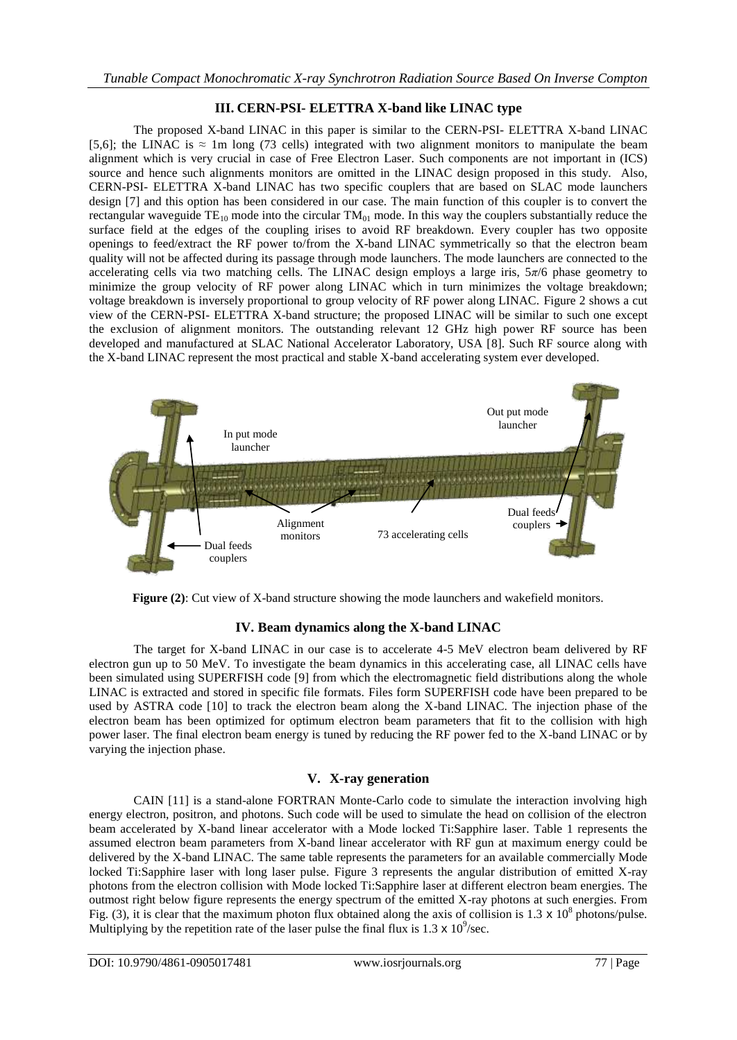# **III. CERN-PSI- ELETTRA X-band like LINAC type**

The proposed X-band LINAC in this paper is similar to the CERN-PSI- ELETTRA X-band LINAC [5,6]; the LINAC is  $\approx$  1m long (73 cells) integrated with two alignment monitors to manipulate the beam alignment which is very crucial in case of Free Electron Laser. Such components are not important in (ICS) source and hence such alignments monitors are omitted in the LINAC design proposed in this study. Also, CERN-PSI- ELETTRA X-band LINAC has two specific couplers that are based on SLAC mode launchers design [7] and this option has been considered in our case. The main function of this coupler is to convert the rectangular waveguide  $TE_{10}$  mode into the circular  $TM_{01}$  mode. In this way the couplers substantially reduce the surface field at the edges of the coupling irises to avoid RF breakdown. Every coupler has two opposite openings to feed/extract the RF power to/from the X-band LINAC symmetrically so that the electron beam quality will not be affected during its passage through mode launchers. The mode launchers are connected to the accelerating cells via two matching cells. The LINAC design employs a large iris, 5*π*/6 phase geometry to minimize the group velocity of RF power along LINAC which in turn minimizes the voltage breakdown; voltage breakdown is inversely proportional to group velocity of RF power along LINAC. Figure 2 shows a cut view of the CERN-PSI- ELETTRA X-band structure; the proposed LINAC will be similar to such one except the exclusion of alignment monitors. The outstanding relevant 12 GHz high power RF source has been developed and manufactured at SLAC National Accelerator Laboratory, USA [8]. Such RF source along with the X-band LINAC represent the most practical and stable X-band accelerating system ever developed.



**Figure (2)**: Cut view of X-band structure showing the mode launchers and wakefield monitors.

# **IV. Beam dynamics along the X-band LINAC**

The target for X-band LINAC in our case is to accelerate 4-5 MeV electron beam delivered by RF electron gun up to 50 MeV. To investigate the beam dynamics in this accelerating case, all LINAC cells have been simulated using SUPERFISH code [9] from which the electromagnetic field distributions along the whole LINAC is extracted and stored in specific file formats. Files form SUPERFISH code have been prepared to be used by ASTRA code [10] to track the electron beam along the X-band LINAC. The injection phase of the electron beam has been optimized for optimum electron beam parameters that fit to the collision with high power laser. The final electron beam energy is tuned by reducing the RF power fed to the X-band LINAC or by varying the injection phase.

# **V. X-ray generation**

CAIN [11] is a stand-alone FORTRAN Monte-Carlo code to simulate the interaction involving high energy electron, positron, and photons. Such code will be used to simulate the head on collision of the electron beam accelerated by X-band linear accelerator with a Mode locked Ti:Sapphire laser. Table 1 represents the assumed electron beam parameters from X-band linear accelerator with RF gun at maximum energy could be delivered by the X-band LINAC. The same table represents the parameters for an available commercially Mode locked Ti:Sapphire laser with long laser pulse. Figure 3 represents the angular distribution of emitted X-ray photons from the electron collision with Mode locked Ti:Sapphire laser at different electron beam energies. The outmost right below figure represents the energy spectrum of the emitted X-ray photons at such energies. From Fig. (3), it is clear that the maximum photon flux obtained along the axis of collision is 1.3  $\times$  10<sup>8</sup> photons/pulse. Multiplying by the repetition rate of the laser pulse the final flux is 1.3  $\times$  10<sup>9</sup>/sec.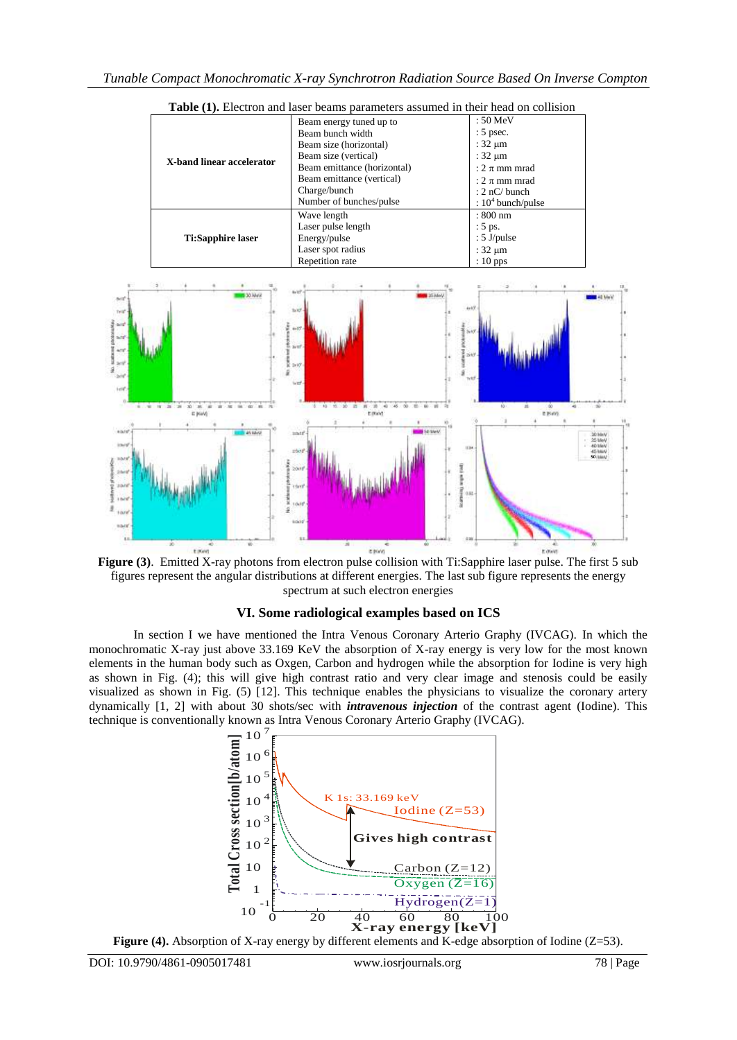

**Table (1).** Electron and laser beams parameters assumed in their head on collision



# **VI. Some radiological examples based on ICS**

In section I we have mentioned the Intra Venous Coronary Arterio Graphy (IVCAG). In which the monochromatic X-ray just above 33.169 KeV the absorption of X-ray energy is very low for the most known elements in the human body such as Oxgen, Carbon and hydrogen while the absorption for Iodine is very high as shown in Fig. (4); this will give high contrast ratio and very clear image and stenosis could be easily as shown in Fig. (4), this win give high contrast ratio and very clear linge and stenosis collid be easily visualized as shown in Fig. (5) [12]. This technique enables the physicians to visualize the coronary artery dynam dynamically [1, 2] with about 30 shots/sec with *intravenous injection* of the contrast agent (Iodine). This technique is conventionally known as Intra Venous Coronary Arterio Graphy (IVCAG).



Figure (4). Absorption of X-ray energy by different elements and K-edge absorption of Iodine (Z=53).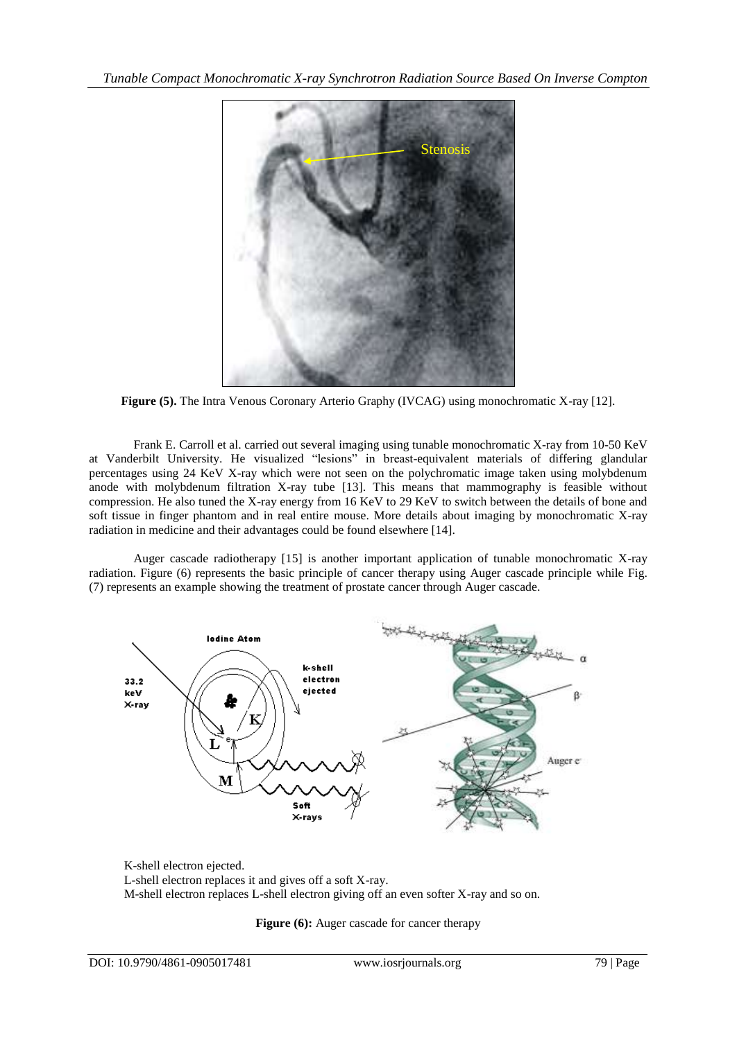

**Figure (5).** The Intra Venous Coronary Arterio Graphy (IVCAG) using monochromatic X-ray [12].

Frank E. Carroll et al. carried out several imaging using tunable monochromatic X-ray from 10-50 KeV at Vanderbilt University. He visualized "lesions" in breast-equivalent materials of differing glandular percentages using 24 KeV X-ray which were not seen on the polychromatic image taken using molybdenum anode with molybdenum filtration X-ray tube [13]. This means that mammography is feasible without compression. He also tuned the X-ray energy from 16 KeV to 29 KeV to switch between the details of bone and soft tissue in finger phantom and in real entire mouse. More details about imaging by monochromatic X-ray radiation in medicine and their advantages could be found elsewhere [14].

Auger cascade radiotherapy [15] is another important application of tunable monochromatic X-ray radiation. Figure (6) represents the basic principle of cancer therapy using Auger cascade principle while Fig. (7) represents an example showing the treatment of prostate cancer through Auger cascade.



K-shell electron ejected. L-shell electron replaces it and gives off a soft X-ray. M-shell electron replaces L-shell electron giving off an even softer X-ray and so on.

Figure (6): Auger cascade for cancer therapy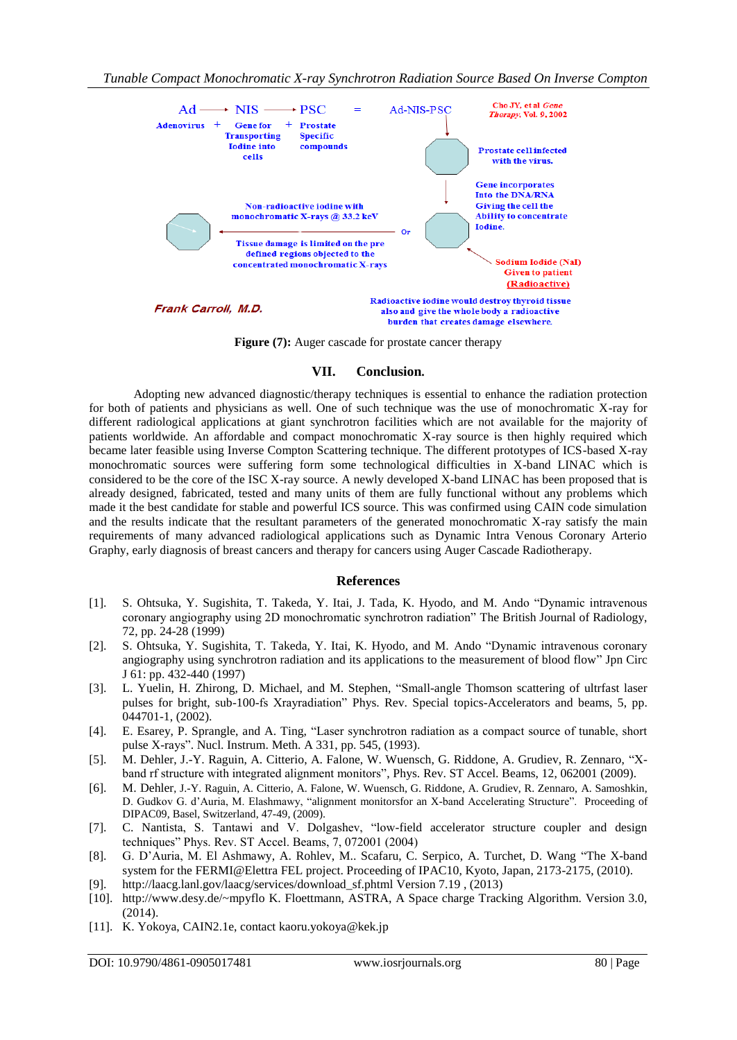

Figure (7): Auger cascade for prostate cancer therapy

#### **VII. Conclusion.**

Adopting new advanced diagnostic/therapy techniques is essential to enhance the radiation protection for both of patients and physicians as well. One of such technique was the use of monochromatic X-ray for different radiological applications at giant synchrotron facilities which are not available for the majority of patients worldwide. An affordable and compact monochromatic X-ray source is then highly required which became later feasible using Inverse Compton Scattering technique. The different prototypes of ICS-based X-ray monochromatic sources were suffering form some technological difficulties in X-band LINAC which is considered to be the core of the ISC X-ray source. A newly developed X-band LINAC has been proposed that is already designed, fabricated, tested and many units of them are fully functional without any problems which made it the best candidate for stable and powerful ICS source. This was confirmed using CAIN code simulation and the results indicate that the resultant parameters of the generated monochromatic X-ray satisfy the main requirements of many advanced radiological applications such as Dynamic Intra Venous Coronary Arterio Graphy, early diagnosis of breast cancers and therapy for cancers using Auger Cascade Radiotherapy.

#### **References**

- [1]. S. Ohtsuka, Y. Sugishita, T. Takeda, Y. Itai, J. Tada, K. Hyodo, and M. Ando "Dynamic intravenous coronary angiography using 2D monochromatic synchrotron radiation" The British Journal of Radiology, 72, pp. 24-28 (1999)
- [2]. S. Ohtsuka, Y. Sugishita, T. Takeda, Y. Itai, K. Hyodo, and M. Ando "Dynamic intravenous coronary angiography using synchrotron radiation and its applications to the measurement of blood flow" Jpn Circ J 61: pp. 432-440 (1997)
- [3]. L. Yuelin, H. Zhirong, D. Michael, and M. Stephen, "Small-angle Thomson scattering of ultrfast laser pulses for bright, sub-100-fs Xrayradiation" Phys. Rev. Special topics-Accelerators and beams, 5, pp. 044701-1, (2002).
- [4]. E. Esarey, P. Sprangle, and A. Ting, "Laser synchrotron radiation as a compact source of tunable, short pulse X-rays". Nucl. Instrum. Meth. A 331, pp. 545, (1993).
- [5]. M. Dehler, J.-Y. Raguin, A. Citterio, A. Falone, W. Wuensch, G. Riddone, A. Grudiev, R. Zennaro, "Xband rf structure with integrated alignment monitors", Phys. Rev. ST Accel. Beams, 12, 062001 (2009).
- [6]. M. Dehler, J.-Y. Raguin, A. Citterio, A. Falone, W. Wuensch, G. Riddone, A. Grudiev, R. Zennaro, A. Samoshkin, D. Gudkov G. d'Auria, M. Elashmawy, "alignment monitorsfor an X-band Accelerating Structure". Proceeding of DIPAC09, Basel, Switzerland, 47-49, (2009).
- [7]. C. Nantista, S. Tantawi and V. Dolgashev, "low-field accelerator structure coupler and design techniques" Phys. Rev. ST Accel. Beams, 7, 072001 (2004)
- [8]. G. D'Auria, M. El Ashmawy, A. Rohlev, M.. Scafaru, C. Serpico, A. Turchet, D. Wang "The X-band system for the FERMI@Elettra FEL project. Proceeding of IPAC10, Kyoto, Japan, 2173-2175, (2010).
- [9]. [http://laacg.lanl.gov/laacg/services/download\\_sf.phtml](http://laacg.lanl.gov/laacg/services/download_sf.phtml) Version 7.19 , (2013)
- [10]. http://www.desy.de/~mpyflo K. Floettmann, ASTRA, A Space charge Tracking Algorithm. Version 3.0, (2014).
- [11]. K. Yokoya, CAIN2.1e, contac[t kaoru.yokoya@kek.jp](mailto:kaoru.yokoya@kek.jp)